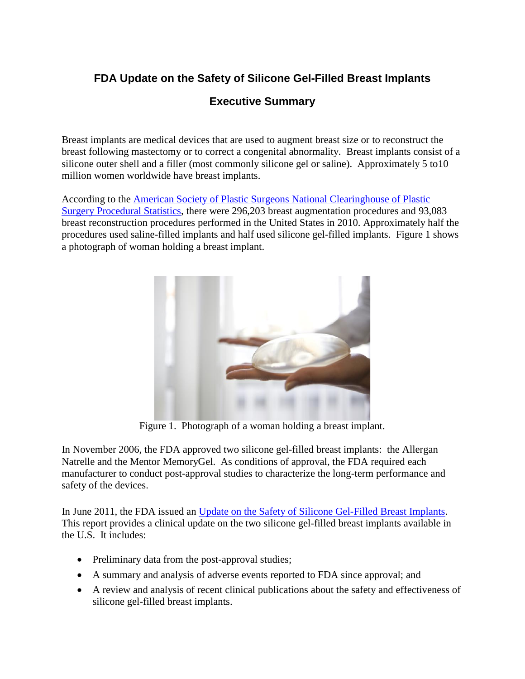# **FDA Update on the Safety of Silicone Gel-Filled Breast Implants**

## **Executive Summary**

Breast implants are medical devices that are used to augment breast size or to reconstruct the breast following mastectomy or to correct a congenital abnormality. Breast implants consist of a silicone outer shell and a filler (most commonly silicone gel or saline). Approximately 5 to10 million women worldwide have breast implants.

According to the [American Society of Plastic Surgeons National Clearinghouse of Plastic](http://www.plasticsurgery.org/news-and-resources/statistics.html)  [Surgery Procedural Statistics](http://www.plasticsurgery.org/news-and-resources/statistics.html), there were 296,203 breast augmentation procedures and 93,083 breast reconstruction procedures performed in the United States in 2010. Approximately half the procedures used saline-filled implants and half used silicone gel-filled implants. Figure 1 shows a photograph of woman holding a breast implant.



Figure 1. Photograph of a woman holding a breast implant.

In November 2006, the FDA approved two silicone gel-filled breast implants: the Allergan Natrelle and the Mentor MemoryGel. As conditions of approval, the FDA required each manufacturer to conduct post-approval studies to characterize the long-term performance and safety of the devices.

In June 2011, the FDA issued an [Update on the Safety of Silicone Gel-Filled Breast Implants](http://www.fda.gov/downloads/MedicalDevices/ProductsandMedicalProcedures/ImplantsandProsthetics/BreastImplants/UCM260090.pdf). This report provides a clinical update on the two silicone gel-filled breast implants available in the U.S. It includes:

- Preliminary data from the post-approval studies;
- · A summary and analysis of adverse events reported to FDA since approval; and
- · A review and analysis of recent clinical publications about the safety and effectiveness of silicone gel-filled breast implants.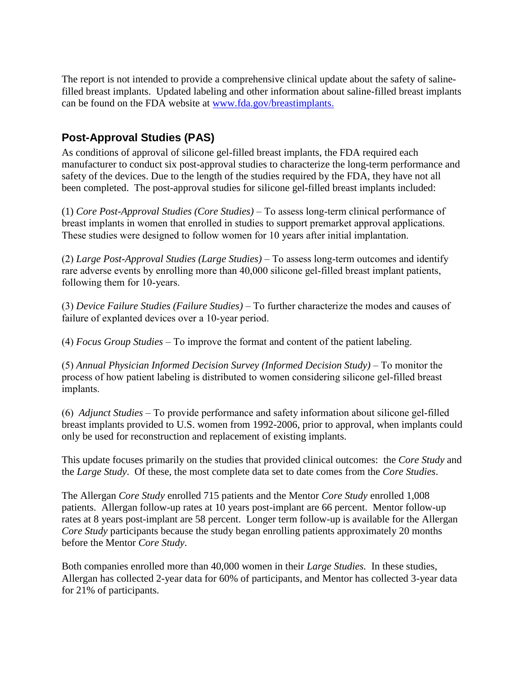The report is not intended to provide a comprehensive clinical update about the safety of salinefilled breast implants. Updated labeling and other information about saline-filled breast implants can be found on the FDA website at www.fda.gov/breastimplants.

## **Post-Approval Studies (PAS)**

As conditions of approval of silicone gel-filled breast implants, the FDA required each manufacturer to conduct six post-approval studies to characterize the long-term performance and safety of the devices. Due to the length of the studies required by the FDA, they have not all been completed. The post-approval studies for silicone gel-filled breast implants included:

(1) *Core Post-Approval Studies (Core Studies)* – To assess long-term clinical performance of breast implants in women that enrolled in studies to support premarket approval applications. These studies were designed to follow women for 10 years after initial implantation.

(2) *Large Post-Approval Studies (Large Studies)* – To assess long-term outcomes and identify rare adverse events by enrolling more than 40,000 silicone gel-filled breast implant patients, following them for 10-years.

(3) *Device Failure Studies (Failure Studies)* – To further characterize the modes and causes of failure of explanted devices over a 10-year period.

(4) *Focus Group Studies* – To improve the format and content of the patient labeling.

(5) *Annual Physician Informed Decision Survey (Informed Decision Study)* – To monitor the process of how patient labeling is distributed to women considering silicone gel-filled breast implants.

(6) *Adjunct Studies* – To provide performance and safety information about silicone gel-filled breast implants provided to U.S. women from 1992-2006, prior to approval, when implants could only be used for reconstruction and replacement of existing implants.

This update focuses primarily on the studies that provided clinical outcomes: the *Core Study* and the *Large Study*. Of these, the most complete data set to date comes from the *Core Studies*.

The Allergan *Core Study* enrolled 715 patients and the Mentor *Core Study* enrolled 1,008 patients. Allergan follow-up rates at 10 years post-implant are 66 percent. Mentor follow-up rates at 8 years post-implant are 58 percent. Longer term follow-up is available for the Allergan *Core Study* participants because the study began enrolling patients approximately 20 months before the Mentor *Core Study*.

Both companies enrolled more than 40,000 women in their *Large Studies.* In these studies, Allergan has collected 2-year data for 60% of participants, and Mentor has collected 3-year data for 21% of participants.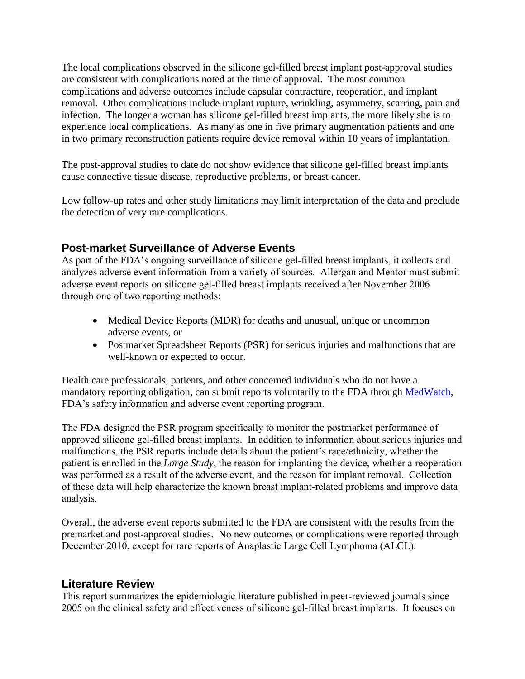The local complications observed in the silicone gel-filled breast implant post-approval studies are consistent with complications noted at the time of approval. The most common complications and adverse outcomes include capsular contracture, reoperation, and implant removal. Other complications include implant rupture, wrinkling, asymmetry, scarring, pain and infection. The longer a woman has silicone gel-filled breast implants, the more likely she is to experience local complications. As many as one in five primary augmentation patients and one in two primary reconstruction patients require device removal within 10 years of implantation.

The post-approval studies to date do not show evidence that silicone gel-filled breast implants cause connective tissue disease, reproductive problems, or breast cancer.

Low follow-up rates and other study limitations may limit interpretation of the data and preclude the detection of very rare complications.

#### **Post-market Surveillance of Adverse Events**

As part of the FDA's ongoing surveillance of silicone gel-filled breast implants, it collects and analyzes adverse event information from a variety of sources. Allergan and Mentor must submit adverse event reports on silicone gel-filled breast implants received after November 2006 through one of two reporting methods:

- Medical Device Reports (MDR) for deaths and unusual, unique or uncommon adverse events, or
- Postmarket Spreadsheet Reports (PSR) for serious injuries and malfunctions that are well-known or expected to occur.

Health care professionals, patients, and other concerned individuals who do not have a mandatory reporting obligation, can submit reports voluntarily to the FDA through [MedWatch,](http://www.fda.gov/Safety/MedWatch/default.htm) FDA's safety information and adverse event reporting program.

The FDA designed the PSR program specifically to monitor the postmarket performance of approved silicone gel-filled breast implants. In addition to information about serious injuries and malfunctions, the PSR reports include details about the patient's race/ethnicity, whether the patient is enrolled in the *Large Study*, the reason for implanting the device, whether a reoperation was performed as a result of the adverse event, and the reason for implant removal. Collection of these data will help characterize the known breast implant-related problems and improve data analysis.

Overall, the adverse event reports submitted to the FDA are consistent with the results from the premarket and post-approval studies. No new outcomes or complications were reported through December 2010, except for rare reports of Anaplastic Large Cell Lymphoma (ALCL).

#### **Literature Review**

This report summarizes the epidemiologic literature published in peer-reviewed journals since 2005 on the clinical safety and effectiveness of silicone gel-filled breast implants. It focuses on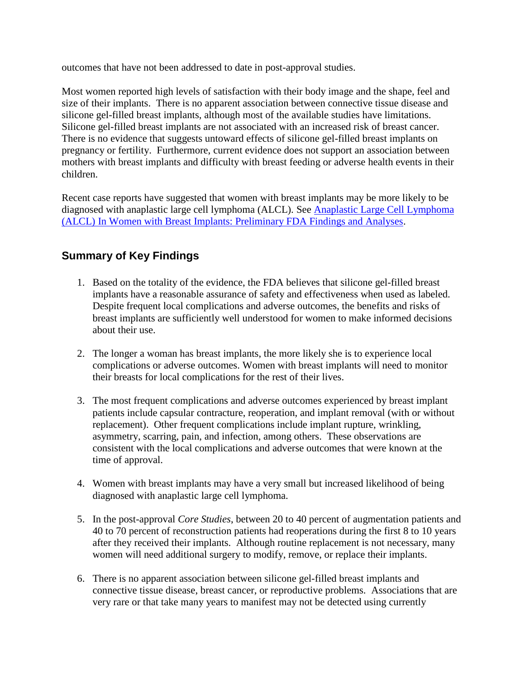outcomes that have not been addressed to date in post-approval studies.

Most women reported high levels of satisfaction with their body image and the shape, feel and size of their implants. There is no apparent association between connective tissue disease and silicone gel-filled breast implants, although most of the available studies have limitations. Silicone gel-filled breast implants are not associated with an increased risk of breast cancer. There is no evidence that suggests untoward effects of silicone gel-filled breast implants on pregnancy or fertility. Furthermore, current evidence does not support an association between mothers with breast implants and difficulty with breast feeding or adverse health events in their children.

Recent case reports have suggested that women with breast implants may be more likely to be diagnosed with anaplastic large cell lymphoma (ALCL). See [Anaplastic Large Cell Lymphoma](http://www.fda.gov/MedicalDevices/ProductsandMedicalProcedures/ImplantsandProsthetics/BreastImplants/ucm239996.htm)  [\(ALCL\) In Women with Breast Implants: Preliminary FDA Findings and Analyses](http://www.fda.gov/MedicalDevices/ProductsandMedicalProcedures/ImplantsandProsthetics/BreastImplants/ucm239996.htm).

## **Summary of Key Findings**

- 1. Based on the totality of the evidence, the FDA believes that silicone gel-filled breast implants have a reasonable assurance of safety and effectiveness when used as labeled. Despite frequent local complications and adverse outcomes, the benefits and risks of breast implants are sufficiently well understood for women to make informed decisions about their use.
- 2. The longer a woman has breast implants, the more likely she is to experience local complications or adverse outcomes. Women with breast implants will need to monitor their breasts for local complications for the rest of their lives.
- 3. The most frequent complications and adverse outcomes experienced by breast implant patients include capsular contracture, reoperation, and implant removal (with or without replacement). Other frequent complications include implant rupture, wrinkling, asymmetry, scarring, pain, and infection, among others. These observations are consistent with the local complications and adverse outcomes that were known at the time of approval.
- 4. Women with breast implants may have a very small but increased likelihood of being diagnosed with anaplastic large cell lymphoma.
- 5. In the post-approval *Core Studies*, between 20 to 40 percent of augmentation patients and 40 to 70 percent of reconstruction patients had reoperations during the first 8 to 10 years after they received their implants. Although routine replacement is not necessary, many women will need additional surgery to modify, remove, or replace their implants.
- 6. There is no apparent association between silicone gel-filled breast implants and connective tissue disease, breast cancer, or reproductive problems. Associations that are very rare or that take many years to manifest may not be detected using currently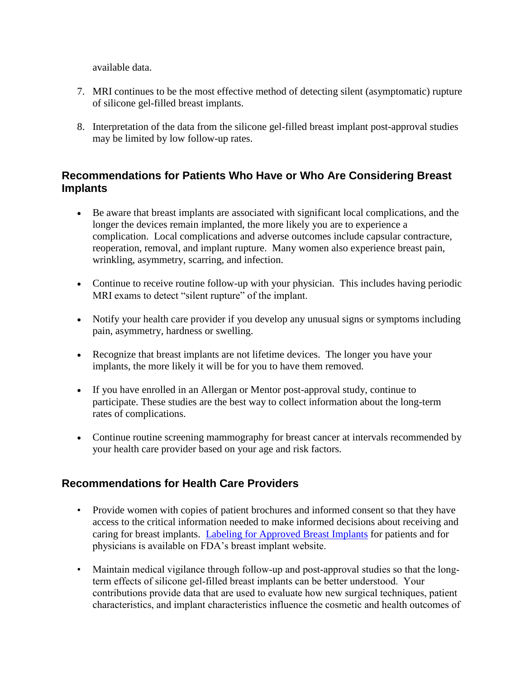available data.

- 7. MRI continues to be the most effective method of detecting silent (asymptomatic) rupture of silicone gel-filled breast implants.
- 8. Interpretation of the data from the silicone gel-filled breast implant post-approval studies may be limited by low follow-up rates.

### **Recommendations for Patients Who Have or Who Are Considering Breast Implants**

- · Be aware that breast implants are associated with significant local complications, and the longer the devices remain implanted, the more likely you are to experience a complication. Local complications and adverse outcomes include capsular contracture, reoperation, removal, and implant rupture. Many women also experience breast pain, wrinkling, asymmetry, scarring, and infection.
- · Continue to receive routine follow-up with your physician. This includes having periodic MRI exams to detect "silent rupture" of the implant.
- · Notify your health care provider if you develop any unusual signs or symptoms including pain, asymmetry, hardness or swelling.
- · Recognize that breast implants are not lifetime devices. The longer you have your implants, the more likely it will be for you to have them removed.
- · If you have enrolled in an Allergan or Mentor post-approval study, continue to participate. These studies are the best way to collect information about the long-term rates of complications.
- Continue routine screening mammography for breast cancer at intervals recommended by your health care provider based on your age and risk factors.

### **Recommendations for Health Care Providers**

- Provide women with copies of patient brochures and informed consent so that they have access to the critical information needed to make informed decisions about receiving and caring for breast implants. [Labeling for Approved Breast Implants](http://www.fda.gov/MedicalDevices/ProductsandMedicalProcedures/ImplantsandProsthetics/BreastImplants/ucm063743.htm) for patients and for physicians is available on FDA's breast implant website.
- Maintain medical vigilance through follow-up and post-approval studies so that the longterm effects of silicone gel-filled breast implants can be better understood. Your contributions provide data that are used to evaluate how new surgical techniques, patient characteristics, and implant characteristics influence the cosmetic and health outcomes of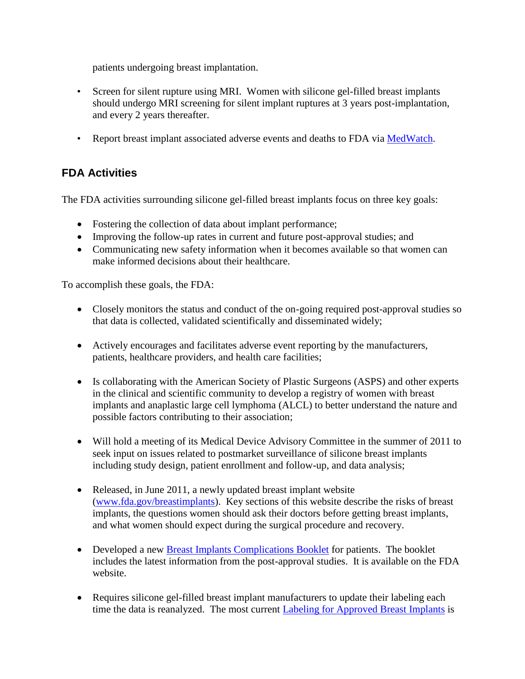patients undergoing breast implantation.

- Screen for silent rupture using MRI. Women with silicone gel-filled breast implants should undergo MRI screening for silent implant ruptures at 3 years post-implantation, and every 2 years thereafter.
- Report breast implant associated adverse events and deaths to FDA via [MedWatch.](http://www.fda.gov/Safety/MedWatch/default.htm)

## **FDA Activities**

The FDA activities surrounding silicone gel-filled breast implants focus on three key goals:

- Fostering the collection of data about implant performance;
- Improving the follow-up rates in current and future post-approval studies; and
- · Communicating new safety information when it becomes available so that women can make informed decisions about their healthcare.

To accomplish these goals, the FDA:

- Closely monitors the status and conduct of the on-going required post-approval studies so that data is collected, validated scientifically and disseminated widely;
- · Actively encourages and facilitates adverse event reporting by the manufacturers, patients, healthcare providers, and health care facilities;
- · Is collaborating with the American Society of Plastic Surgeons (ASPS) and other experts in the clinical and scientific community to develop a registry of women with breast implants and anaplastic large cell lymphoma (ALCL) to better understand the nature and possible factors contributing to their association;
- Will hold a meeting of its Medical Device Advisory Committee in the summer of 2011 to seek input on issues related to postmarket surveillance of silicone breast implants including study design, patient enrollment and follow-up, and data analysis;
- Released, in June 2011, a newly updated breast implant website ([www.fda.gov/breastimplants\)](http://www.fda.gov/breastimplants). Key sections of this website describe the risks of breast implants, the questions women should ask their doctors before getting breast implants, and what women should expect during the surgical procedure and recovery.
- Developed a new [Breast Implants Complications Booklet](http://www.fda.gov/MedicalDevices/ProductsandMedicalProcedures/ImplantsandProsthetics/BreastImplants/ucm259296.htm) for patients. The booklet includes the latest information from the post-approval studies. It is available on the FDA website.
- Requires silicone gel-filled breast implant manufacturers to update their labeling each time the data is reanalyzed. The most current **Labeling for Approved Breast Implants** is